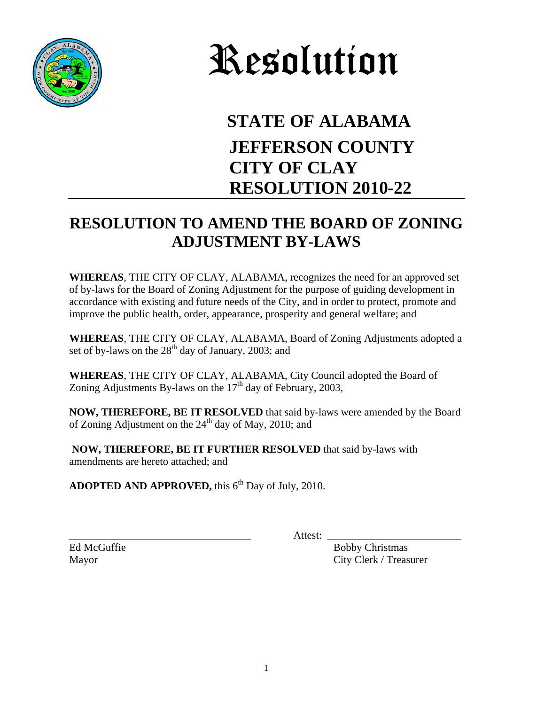



## **STATE OF ALABAMA JEFFERSON COUNTY CITY OF CLAY RESOLUTION 2010-22**

## **RESOLUTION TO AMEND THE BOARD OF ZONING ADJUSTMENT BY-LAWS**

**WHEREAS**, THE CITY OF CLAY, ALABAMA, recognizes the need for an approved set of by-laws for the Board of Zoning Adjustment for the purpose of guiding development in accordance with existing and future needs of the City, and in order to protect, promote and improve the public health, order, appearance, prosperity and general welfare; and

**WHEREAS**, THE CITY OF CLAY, ALABAMA, Board of Zoning Adjustments adopted a set of by-laws on the  $28<sup>th</sup>$  day of January, 2003; and

**WHEREAS**, THE CITY OF CLAY, ALABAMA, City Council adopted the Board of Zoning Adjustments By-laws on the  $17<sup>th</sup>$  day of February, 2003,

**NOW, THEREFORE, BE IT RESOLVED** that said by-laws were amended by the Board of Zoning Adjustment on the  $24<sup>th</sup>$  day of May, 2010; and

**NOW, THEREFORE, BE IT FURTHER RESOLVED** that said by-laws with amendments are hereto attached; and

**ADOPTED AND APPROVED, this 6<sup>th</sup> Day of July, 2010.** 

\_\_\_\_\_\_\_\_\_\_\_\_\_\_\_\_\_\_\_\_\_\_\_\_\_\_\_\_\_\_\_\_\_\_ Attest: \_\_\_\_\_\_\_\_\_\_\_\_\_\_\_\_\_\_\_\_\_\_\_\_\_

Ed McGuffie Bobby Christmas Mayor City Clerk / Treasurer